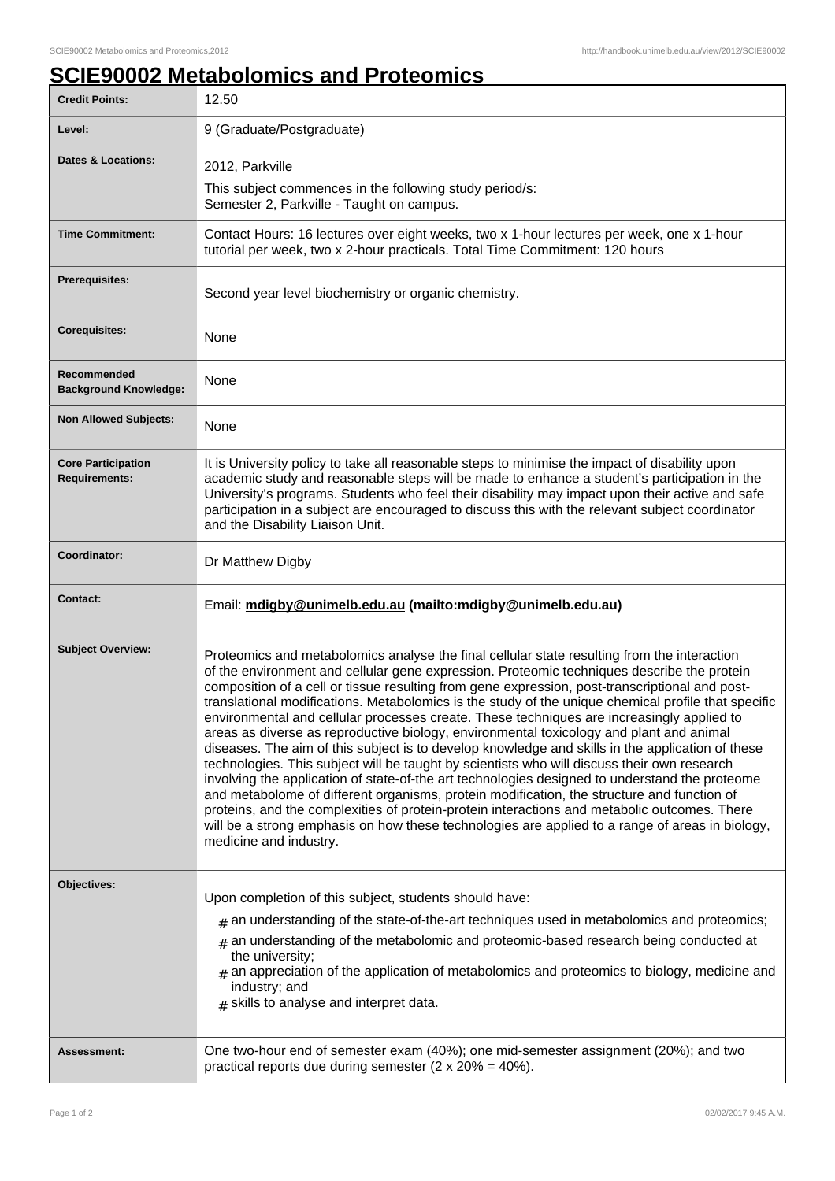## **SCIE90002 Metabolomics and Proteomics**

| <b>Credit Points:</b>                             | 12.50                                                                                                                                                                                                                                                                                                                                                                                                                                                                                                                                                                                                                                                                                                                                                                                                                                                                                                                                                                                                                                                                                                                                                                                                                      |
|---------------------------------------------------|----------------------------------------------------------------------------------------------------------------------------------------------------------------------------------------------------------------------------------------------------------------------------------------------------------------------------------------------------------------------------------------------------------------------------------------------------------------------------------------------------------------------------------------------------------------------------------------------------------------------------------------------------------------------------------------------------------------------------------------------------------------------------------------------------------------------------------------------------------------------------------------------------------------------------------------------------------------------------------------------------------------------------------------------------------------------------------------------------------------------------------------------------------------------------------------------------------------------------|
| Level:                                            | 9 (Graduate/Postgraduate)                                                                                                                                                                                                                                                                                                                                                                                                                                                                                                                                                                                                                                                                                                                                                                                                                                                                                                                                                                                                                                                                                                                                                                                                  |
| <b>Dates &amp; Locations:</b>                     | 2012, Parkville                                                                                                                                                                                                                                                                                                                                                                                                                                                                                                                                                                                                                                                                                                                                                                                                                                                                                                                                                                                                                                                                                                                                                                                                            |
|                                                   | This subject commences in the following study period/s:<br>Semester 2, Parkville - Taught on campus.                                                                                                                                                                                                                                                                                                                                                                                                                                                                                                                                                                                                                                                                                                                                                                                                                                                                                                                                                                                                                                                                                                                       |
| <b>Time Commitment:</b>                           | Contact Hours: 16 lectures over eight weeks, two x 1-hour lectures per week, one x 1-hour<br>tutorial per week, two x 2-hour practicals. Total Time Commitment: 120 hours                                                                                                                                                                                                                                                                                                                                                                                                                                                                                                                                                                                                                                                                                                                                                                                                                                                                                                                                                                                                                                                  |
| <b>Prerequisites:</b>                             | Second year level biochemistry or organic chemistry.                                                                                                                                                                                                                                                                                                                                                                                                                                                                                                                                                                                                                                                                                                                                                                                                                                                                                                                                                                                                                                                                                                                                                                       |
| <b>Corequisites:</b>                              | None                                                                                                                                                                                                                                                                                                                                                                                                                                                                                                                                                                                                                                                                                                                                                                                                                                                                                                                                                                                                                                                                                                                                                                                                                       |
| Recommended<br><b>Background Knowledge:</b>       | None                                                                                                                                                                                                                                                                                                                                                                                                                                                                                                                                                                                                                                                                                                                                                                                                                                                                                                                                                                                                                                                                                                                                                                                                                       |
| <b>Non Allowed Subjects:</b>                      | None                                                                                                                                                                                                                                                                                                                                                                                                                                                                                                                                                                                                                                                                                                                                                                                                                                                                                                                                                                                                                                                                                                                                                                                                                       |
| <b>Core Participation</b><br><b>Requirements:</b> | It is University policy to take all reasonable steps to minimise the impact of disability upon<br>academic study and reasonable steps will be made to enhance a student's participation in the<br>University's programs. Students who feel their disability may impact upon their active and safe<br>participation in a subject are encouraged to discuss this with the relevant subject coordinator<br>and the Disability Liaison Unit.                                                                                                                                                                                                                                                                                                                                                                                                                                                                                                                                                                                                                                                                                                                                                                                   |
| Coordinator:                                      | Dr Matthew Digby                                                                                                                                                                                                                                                                                                                                                                                                                                                                                                                                                                                                                                                                                                                                                                                                                                                                                                                                                                                                                                                                                                                                                                                                           |
|                                                   |                                                                                                                                                                                                                                                                                                                                                                                                                                                                                                                                                                                                                                                                                                                                                                                                                                                                                                                                                                                                                                                                                                                                                                                                                            |
| <b>Contact:</b>                                   | Email: mdigby@unimelb.edu.au (mailto:mdigby@unimelb.edu.au)                                                                                                                                                                                                                                                                                                                                                                                                                                                                                                                                                                                                                                                                                                                                                                                                                                                                                                                                                                                                                                                                                                                                                                |
| <b>Subject Overview:</b>                          | Proteomics and metabolomics analyse the final cellular state resulting from the interaction<br>of the environment and cellular gene expression. Proteomic techniques describe the protein<br>composition of a cell or tissue resulting from gene expression, post-transcriptional and post-<br>translational modifications. Metabolomics is the study of the unique chemical profile that specific<br>environmental and cellular processes create. These techniques are increasingly applied to<br>areas as diverse as reproductive biology, environmental toxicology and plant and animal<br>diseases. The aim of this subject is to develop knowledge and skills in the application of these<br>technologies. This subject will be taught by scientists who will discuss their own research<br>involving the application of state-of-the art technologies designed to understand the proteome<br>and metabolome of different organisms, protein modification, the structure and function of<br>proteins, and the complexities of protein-protein interactions and metabolic outcomes. There<br>will be a strong emphasis on how these technologies are applied to a range of areas in biology,<br>medicine and industry. |
| Objectives:                                       | Upon completion of this subject, students should have:<br>$#$ an understanding of the state-of-the-art techniques used in metabolomics and proteomics;<br>$*$ an understanding of the metabolomic and proteomic-based research being conducted at<br>the university;<br>$#$ an appreciation of the application of metabolomics and proteomics to biology, medicine and<br>industry; and<br>$#$ skills to analyse and interpret data.                                                                                                                                                                                                                                                                                                                                                                                                                                                                                                                                                                                                                                                                                                                                                                                       |